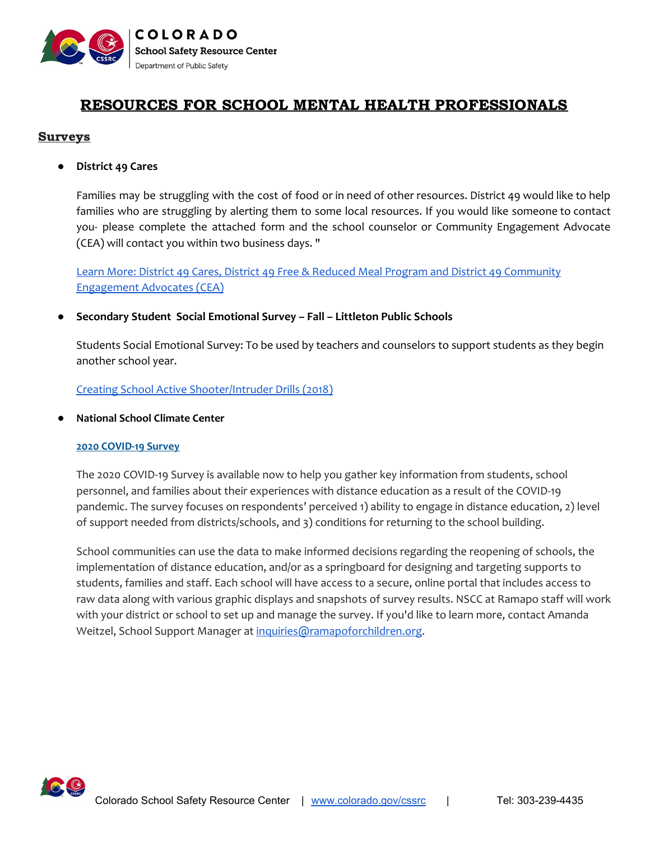

# RESOURCES FOR SCHOOL MENTAL HEALTH PROFESSIONALS

# **Surveys**

**● District 49 Cares**

Families may be struggling with the cost of food or in need of other resources. District 49 would like to help families who are struggling by alerting them to some local resources. If you would like someone to contact you- please complete the attached form and the school counselor or Community Engagement Advocate (CEA) will contact you within two business days. "

Learn More: District 49 Cares, District 49 Free & Reduced Meal Program and District 49 [Community](https://cdpsdocs.state.co.us/safeschools/Resources/Coronavirus_Disease_2019(COVID-19)/Resources_Email_to_Parents_And_Staff.pdf) [Engagement](https://cdpsdocs.state.co.us/safeschools/Resources/Coronavirus_Disease_2019(COVID-19)/Resources_Email_to_Parents_And_Staff.pdf) Advocates (CEA)

**● Secondary Student Social Emotional Survey – Fall – Littleton Public Schools**

Students Social Emotional Survey: To be used by teachers and counselors to support students as they begin another school year.

Creating School Active [Shooter/Intruder](https://cdpsdocs.state.co.us/safeschools/Resources/Coronavirus_Disease_2019(COVID-19)/SecondaryStudentSocialEmotionalSurvey-Fall-2020.png) Drills (2018)

**● National School Climate Center**

### **2020 COVID-19 Survey**

The 2020 COVID-19 Survey is available now to help you gather key information from students, school personnel, and families about their experiences with distance education as a result of the COVID-19 pandemic. The survey focuses on respondents' perceived 1) ability to engage in distance education, 2) level of support needed from districts/schools, and 3) conditions for returning to the school building.

School communities can use the data to make informed decisions regarding the reopening of schools, the implementation of distance education, and/or as a springboard for designing and targeting supports to students, families and staff. Each school will have access to a secure, online portal that includes access to raw data along with various graphic displays and snapshots of survey results. NSCC at Ramapo staff will work with your district or school to set up and manage the survey. If you'd like to learn more, contact Amanda Weitzel, School Support Manager at [inquiries@ramapoforchildren.org.](mailto:inquiries@ramapoforchildren.org)